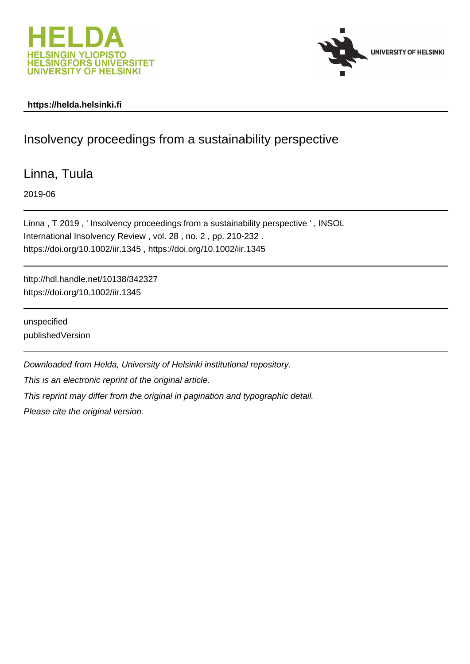



# **https://helda.helsinki.fi**

# Insolvency proceedings from a sustainability perspective

Linna, Tuula

2019-06

Linna , T 2019 , ' Insolvency proceedings from a sustainability perspective ' , INSOL International Insolvency Review , vol. 28 , no. 2 , pp. 210-232 . https://doi.org/10.1002/iir.1345 , https://doi.org/10.1002/iir.1345

http://hdl.handle.net/10138/342327 https://doi.org/10.1002/iir.1345

unspecified publishedVersion

Downloaded from Helda, University of Helsinki institutional repository.

This is an electronic reprint of the original article.

This reprint may differ from the original in pagination and typographic detail.

Please cite the original version.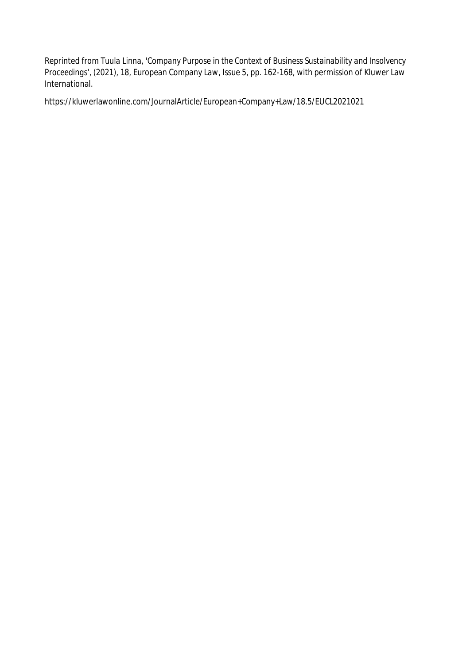Reprinted from *Tuula Linna, 'Company Purpose in the Context of Business Sustainability and Insolvency Proceedings', (2021), 18, European Company Law, Issue 5, pp. 162-168*, with permission of Kluwer Law International.

https://kluwerlawonline.com/JournalArticle/European+Company+Law/18.5/EUCL2021021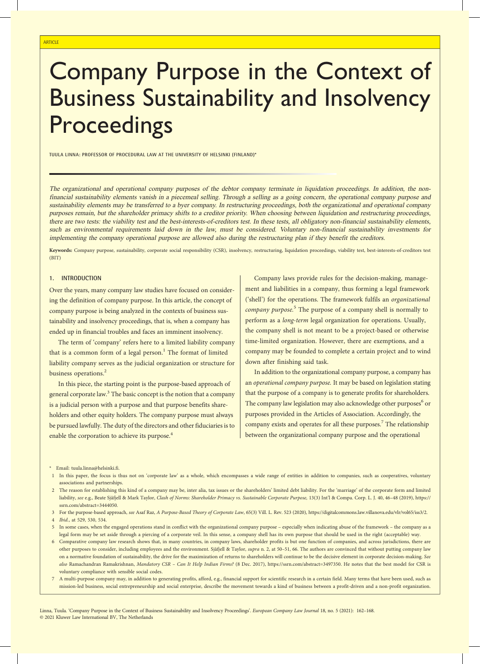# Company Purpose in the Context of Business Sustainability and Insolvency **Proceedings**

TUULA LINNA: PROFESSOR OF PROCEDURAL LAW AT THE UNIVERSITY OF HELSINKI (FINLAND)\*

The organizational and operational company purposes of the debtor company terminate in liquidation proceedings. In addition, the nonfinancial sustainability elements vanish in <sup>a</sup> piecemeal selling. Through <sup>a</sup> selling as <sup>a</sup> going concern, the operational company purpose and sustainability elements may be transferred to <sup>a</sup> byer company. In restructuring proceedings, both the organizational and operational company purposes remain, but the shareholder primacy shifts to <sup>a</sup> creditor priority. When choosing between liquidation and restructuring proceedings, there are two tests: the viability test and the best-interests-of-creditors test. In these tests, all obligatory non-financial sustainability elements, such as environmental requirements laid down in the law, must be considered. Voluntary non-financial sustainability investments for implementing the company operational purpose are allowed also during the restructuring plan if they benefit the creditors.

Keywords: Company purpose, sustainability, corporate social responsibility (CSR), insolvency, restructuring, liquidation proceedings, viability test, best-interests-of-creditors test (BIT)

#### 1. INTRODUCTION

Over the years, many company law studies have focused on considering the definition of company purpose. In this article, the concept of company purpose is being analyzed in the contexts of business sustainability and insolvency proceedings, that is, when a company has ended up in financial troubles and faces an imminent insolvency.

The term of 'company' refers here to a limited liability company that is a common form of a legal person.<sup>1</sup> The format of limited liability company serves as the judicial organization or structure for business operations.<sup>2</sup>

In this piece, the starting point is the purpose-based approach of general corporate law.<sup>3</sup> The basic concept is the notion that a company is a judicial person with a purpose and that purpose benefits shareholders and other equity holders. The company purpose must always be pursued lawfully. The duty of the directors and other fiduciaries is to enable the corporation to achieve its purpose.<sup>4</sup>

Company laws provide rules for the decision-making, management and liabilities in a company, thus forming a legal framework ('shell') for the operations. The framework fulfils an organizational company purpose.<sup>5</sup> The purpose of a company shell is normally to perform as a long-term legal organization for operations. Usually, the company shell is not meant to be a project-based or otherwise time-limited organization. However, there are exemptions, and a company may be founded to complete a certain project and to wind down after finishing said task.

In addition to the organizational company purpose, a company has an operational company purpose. It may be based on legislation stating that the purpose of a company is to generate profits for shareholders. The company law legislation may also acknowledge other purposes<sup>6</sup> or purposes provided in the Articles of Association. Accordingly, the company exists and operates for all these purposes.<sup>7</sup> The relationship between the organizational company purpose and the operational

- 1 In this paper, the focus is thus not on 'corporate law' as a whole, which encompasses a wide range of entities in addition to companies, such as cooperatives, voluntary associations and partnerships.
- 2 The reason for establishing this kind of a company may be, inter alia, tax issues or the shareholders' limited debt liability. For the 'marriage' of the corporate form and limited liability, see e.g., Beate Sjåfjell & Mark Taylor, Clash of Norms: Shareholder Primacy vs. Sustainable Corporate Purpose, 13(3) Int'l & Compa. Corp. L. J. 40, 46-48 (2019), https:// ssrn.com/abstract=3444050.
- 3 For the purpose-based approach, see Asaf Raz, A Purpose-Based Theory of Corporate Law, 65(3) Vill. L. Rev. 523 (2020), https://digitalcommons.law.villanova.edu/vlr/vol65/iss3/2.
- 4 Ibid., at 529, 530, 534.
- 5 In some cases, when the engaged operations stand in conflict with the organizational company purpose especially when indicating abuse of the framework the company as a legal form may be set aside through a piercing of a corporate veil. In this sense, a company shell has its own purpose that should be used in the right (acceptable) way.
- 6 Comparative company law research shows that, in many countries, in company laws, shareholder profits is but one function of companies, and across jurisdictions, there are other purposes to consider, including employees and the environment. Sjåfjell & Taylor, supra n. 2, at 50-51, 66. The authors are convinced that without putting company law on a normative foundation of sustainability, the drive for the maximization of returns to shareholders will continue to be the decisive element in corporate decision-making. See also Ramachandran Ramakrishnan, Mandatory CSR – Can It Help Indian Firms? (8 Dec. 2017), https://ssrn.com/abstract=3497350. He notes that the best model for CSR is voluntary compliance with sensible social codes.
- 7 A multi-purpose company may, in addition to generating profits, afford, e.g., financial support for scientific research in a certain field. Many terms that have been used, such as mission-led business, social entrepreneurship and social enterprise, describe the movement towards a kind of business between a profit-driven and a non-profit organization.

Linna, Tuula. 'Company Purpose in the Context of Business Sustainability and Insolvency Proceedings'. European Company Law Journal 18, no. 5 (2021): 162–168. © 2021 Kluwer Law International BV, The Netherlands

<sup>\*</sup> Email: tuula.linna@helsinki.fi.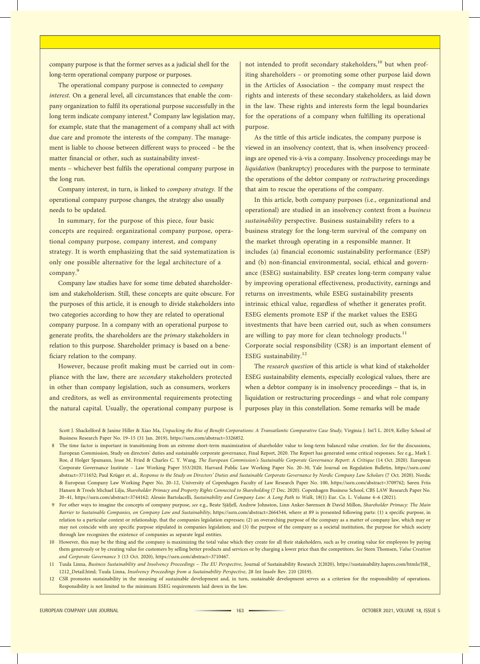company purpose is that the former serves as a judicial shell for the long-term operational company purpose or purposes.

The operational company purpose is connected to company interest. On a general level, all circumstances that enable the company organization to fulfil its operational purpose successfully in the long term indicate company interest.<sup>8</sup> Company law legislation may, for example, state that the management of a company shall act with due care and promote the interests of the company. The management is liable to choose between different ways to proceed – be the matter financial or other, such as sustainability investments – whichever best fulfils the operational company purpose in the long run.

Company interest, in turn, is linked to company strategy. If the operational company purpose changes, the strategy also usually needs to be updated.

In summary, for the purpose of this piece, four basic concepts are required: organizational company purpose, operational company purpose, company interest, and company strategy. It is worth emphasizing that the said systematization is only one possible alternative for the legal architecture of a company.<sup>9</sup>

Company law studies have for some time debated shareholderism and stakeholderism. Still, these concepts are quite obscure. For the purposes of this article, it is enough to divide stakeholders into two categories according to how they are related to operational company purpose. In a company with an operational purpose to generate profits, the shareholders are the primary stakeholders in relation to this purpose. Shareholder primacy is based on a beneficiary relation to the company.

However, because profit making must be carried out in compliance with the law, there are secondary stakeholders protected in other than company legislation, such as consumers, workers and creditors, as well as environmental requirements protecting the natural capital. Usually, the operational company purpose is

not intended to profit secondary stakeholders,<sup>10</sup> but when profiting shareholders – or promoting some other purpose laid down in the Articles of Association – the company must respect the rights and interests of these secondary stakeholders, as laid down in the law. These rights and interests form the legal boundaries for the operations of a company when fulfilling its operational purpose.

As the tittle of this article indicates, the company purpose is viewed in an insolvency context, that is, when insolvency proceedings are opened vis-à-vis a company. Insolvency proceedings may be liquidation (bankruptcy) procedures with the purpose to terminate the operations of the debtor company or restructuring proceedings that aim to rescue the operations of the company.

In this article, both company purposes (i.e., organizational and operational) are studied in an insolvency context from a business sustainability perspective. Business sustainability refers to a business strategy for the long-term survival of the company on the market through operating in a responsible manner. It includes (a) financial economic sustainability performance (ESP) and (b) non-financial environmental, social, ethical and governance (ESEG) sustainability. ESP creates long-term company value by improving operational effectiveness, productivity, earnings and returns on investments, while ESEG sustainability presents intrinsic ethical value, regardless of whether it generates profit. ESEG elements promote ESP if the market values the ESEG investments that have been carried out, such as when consumers are willing to pay more for clean technology products.<sup>11</sup> Corporate social responsibility (CSR) is an important element of ESEG sustainability. $12$ 

The research question of this article is what kind of stakeholder ESEG sustainability elements, especially ecological values, there are when a debtor company is in insolvency proceedings – that is, in liquidation or restructuring proceedings – and what role company purposes play in this constellation. Some remarks will be made

Scott J. Shackelford & Janine Hiller & Xiao Ma, Unpacking the Rise of Benefit Corporations: A Transatlantic Comparative Case Study, Virginia J. Int'l L. 2019, Kelley School of Business Research Paper No. 19–15 (31 Jan. 2019), https://ssrn.com/abstract=3326852.

8 The time factor is important in transitioning from an extreme short-term maximization of shareholder value to long-term balanced value creation. See for the discussions, European Commission, Study on directors' duties and sustainable corporate governance, Final Report, 2020. The Report has generated some critical responses. See e.g., Mark J. Roe, d Holger Spamann, Jesse M. Fried & Charles C. Y. Wang, The European Commission's Sustainable Corporate Governance Report: A Critique (14 Oct. 2020). European Corporate Governance Institute – Law Working Paper 553/2020, Harvard Public Law Working Paper No. 20–30, Yale Journal on Regulation Bulletin, https://ssrn.com/ abstract=3711652; Paul Krüger et. al., Response to the Study on Directors' Duties and Sustainable Corporate Governance by Nordic Company Law Scholars (7 Oct. 2020). Nordic & European Company Law Working Paper No. 20–12, University of Copenhagen Faculty of Law Research Paper No. 100, https://ssrn.com/abstract=3709762; Søren Friis Hansen & Troels Michael Lilja, Shareholder Primacy and Property Rights Connected to Shareholding (7 Dec. 2020). Copenhagen Business School, CBS LAW Research Paper No. 20–41, https://ssrn.com/abstract=3744162; Alessio Bartolacelli, Sustainability and Company Law: A Long Path to Walk, 18(1) Eur. Co. L. Volume 4–6 (2021).

9 For other ways to imagine the concepts of company purpose, see e.g., Beate Sjåfjell, Andrew Johnston, Linn Anker-Sørensen & David Millon, Shareholder Primacy: The Main Barrier to Sustainable Companies, on Company Law and Sustainability, https://ssrn.com/abstract=2664544, where at 89 is presented following parts: (1) a specific purpose, in relation to a particular context or relationship, that the companies legislation expresses; (2) an overarching purpose of the company as a matter of company law, which may or may not coincide with any specific purpose stipulated in companies legislation; and (3) the purpose of the company as a societal institution, the purpose for which society through law recognizes the existence of companies as separate legal entities.

10 However, this may be the thing and the company is maximizing the total value which they create for all their stakeholders, such as by creating value for employees by paying them generously or by creating value for customers by selling better products and services or by charging a lower price than the competitors. See Steen Thomsen, Value Creation and Corporate Governance 3 (13 Oct. 2020), https://ssrn.com/abstract=3710467.

11 Tuula Linna, Business Sustainability and Insolvency Proceedings – The EU Perspective, Journal of Sustainability Research 2(2020), https://sustainability.hapres.com/htmls/JSR\_ 1212\_Detail.html; Tuula Linna, Insolvency Proceedings from a Sustainability Perspective, 28 Int Insolv Rev. 210 (2019).

12 CSR promotes sustainability in the meaning of sustainable development and, in turn, sustainable development serves as a criterion for the responsibility of operations. Responsibility is not limited to the minimum ESEG requirements laid down in the law.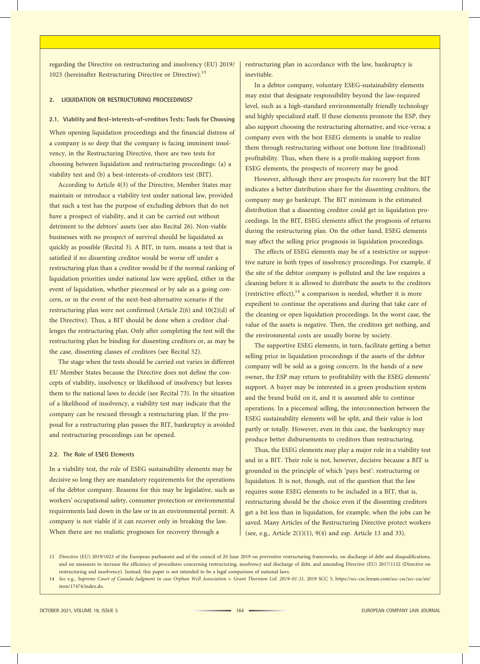regarding the Directive on restructuring and insolvency (EU) 2019/ 1023 (hereinafter Restructuring Directive or Directive).<sup>13</sup>

# 2. LIQUIDATION OR RESTRUCTURING PROCEEDINGS?

#### 2.1. Viability and Best-interests-of-creditors Tests: Tools for Choosing

When opening liquidation proceedings and the financial distress of a company is so deep that the company is facing imminent insolvency, in the Restructuring Directive, there are two tests for choosing between liquidation and restructuring proceedings: (a) a viability test and (b) a best-interests-of-creditors test (BIT).

According to Article 4(3) of the Directive, Member States may maintain or introduce a viability test under national law, provided that such a test has the purpose of excluding debtors that do not have a prospect of viability, and it can be carried out without detriment to the debtors' assets (see also Recital 26). Non-viable businesses with no prospect of survival should be liquidated as quickly as possible (Recital 3). A BIT, in turn, means a test that is satisfied if no dissenting creditor would be worse off under a restructuring plan than a creditor would be if the normal ranking of liquidation priorities under national law were applied, either in the event of liquidation, whether piecemeal or by sale as a going concern, or in the event of the next-best-alternative scenario if the restructuring plan were not confirmed (Article 2(6) and 10(2)(d) of the Directive). Thus, a BIT should be done when a creditor challenges the restructuring plan. Only after completing the test will the restructuring plan be binding for dissenting creditors or, as may be the case, dissenting classes of creditors (see Recital 52).

The stage when the tests should be carried out varies in different EU Member States because the Directive does not define the concepts of viability, insolvency or likelihood of insolvency but leaves them to the national laws to decide (see Recital 73). In the situation of a likelihood of insolvency, a viability test may indicate that the company can be rescued through a restructuring plan. If the proposal for a restructuring plan passes the BIT, bankruptcy is avoided and restructuring proceedings can be opened.

#### 2.2. The Role of ESEG Elements

In a viability test, the role of ESEG sustainability elements may be decisive so long they are mandatory requirements for the operations of the debtor company. Reasons for this may be legislative, such as workers' occupational safety, consumer protection or environmental requirements laid down in the law or in an environmental permit. A company is not viable if it can recover only in breaking the law. When there are no realistic prognoses for recovery through a

restructuring plan in accordance with the law, bankruptcy is inevitable.

In a debtor company, voluntary ESEG-sustainability elements may exist that designate responsibility beyond the law-required level, such as a high-standard environmentally friendly technology and highly specialized staff. If these elements promote the ESP, they also support choosing the restructuring alternative, and vice-versa; a company even with the best ESEG elements is unable to realize them through restructuring without one bottom line (traditional) profitability. Thus, when there is a profit-making support from ESEG elements, the prospects of recovery may be good.

However, although there are prospects for recovery but the BIT indicates a better distribution share for the dissenting creditors, the company may go bankrupt. The BIT minimum is the estimated distribution that a dissenting creditor could get in liquidation proceedings. In the BIT, ESEG elements affect the prognosis of returns during the restructuring plan. On the other hand, ESEG elements may affect the selling price prognosis in liquidation proceedings.

The effects of ESEG elements may be of a restrictive or supportive nature in both types of insolvency proceedings. For example, if the site of the debtor company is polluted and the law requires a cleaning before it is allowed to distribute the assets to the creditors (restrictive effect), $14$  a comparison is needed, whether it is more expedient to continue the operations and during that take care of the cleaning or open liquidation proceedings. In the worst case, the value of the assets is negative. Then, the creditors get nothing, and the environmental costs are usually borne by society.

The supportive ESEG elements, in turn, facilitate getting a better selling price in liquidation proceedings if the assets of the debtor company will be sold as a going concern. In the hands of a new owner, the ESP may return to profitability with the ESEG elements' support. A buyer may be interested in a green production system and the brand build on it, and it is assumed able to continue operations. In a piecemeal selling, the interconnection between the ESEG sustainability elements will be split, and their value is lost partly or totally. However, even in this case, the bankruptcy may produce better disbursements to creditors than restructuring.

Thus, the ESEG elements may play a major role in a viability test and in a BIT. Their role is not, however, decisive because a BIT is grounded in the principle of which 'pays best': restructuring or liquidation. It is not, though, out of the question that the law requires some ESEG elements to be included in a BIT, that is, restructuring should be the choice even if the dissenting creditors get a bit less than in liquidation, for example, when the jobs can be saved. Many Articles of the Restructuring Directive protect workers (see, e.g., Article 2(1)(1), 9(4) and esp. Article 13 and 33).

<sup>13</sup> Directive (EU) 2019/1023 of the European parliament and of the council of 20 June 2019 on preventive restructuring frameworks, on discharge of debt and disqualifications, and on measures to increase the efficiency of procedures concerning restructuring, insolvency and discharge of debt, and amending Directive (EU) 2017/1132 (Directive on restructuring and insolvency). Instead, this paper is not intended to be a legal comparison of national laws.

<sup>14</sup> See e.g., Supreme Court of Canada Judgment in case Orphan Well Association v. Grant Thornton Ltd. 2019–01-31, 2019 SCC 5, https://scc-csc.lexum.com/scc-csc/scc-csc/en/ item/17474/index.do.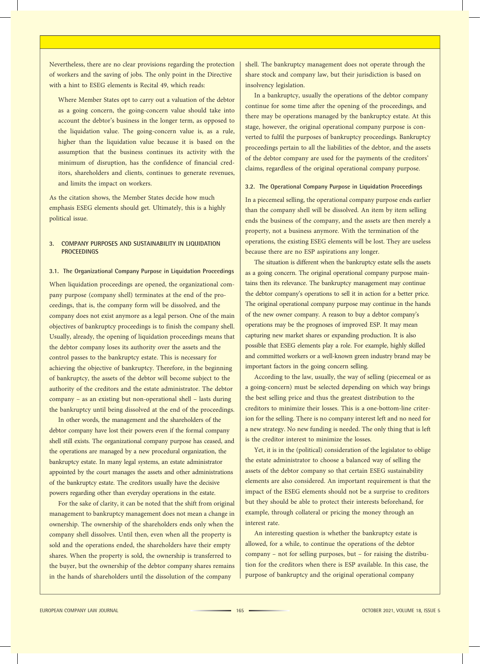Nevertheless, there are no clear provisions regarding the protection of workers and the saving of jobs. The only point in the Directive with a hint to ESEG elements is Recital 49, which reads:

Where Member States opt to carry out a valuation of the debtor as a going concern, the going-concern value should take into account the debtor's business in the longer term, as opposed to the liquidation value. The going-concern value is, as a rule, higher than the liquidation value because it is based on the assumption that the business continues its activity with the minimum of disruption, has the confidence of financial creditors, shareholders and clients, continues to generate revenues, and limits the impact on workers.

As the citation shows, the Member States decide how much emphasis ESEG elements should get. Ultimately, this is a highly political issue.

# 3. COMPANY PURPOSES AND SUSTAINABILITY IN LIQUIDATION **PROCEEDINGS**

### 3.1. The Organizational Company Purpose in Liquidation Proceedings

When liquidation proceedings are opened, the organizational company purpose (company shell) terminates at the end of the proceedings, that is, the company form will be dissolved, and the company does not exist anymore as a legal person. One of the main objectives of bankruptcy proceedings is to finish the company shell. Usually, already, the opening of liquidation proceedings means that the debtor company loses its authority over the assets and the control passes to the bankruptcy estate. This is necessary for achieving the objective of bankruptcy. Therefore, in the beginning of bankruptcy, the assets of the debtor will become subject to the authority of the creditors and the estate administrator. The debtor company – as an existing but non-operational shell – lasts during the bankruptcy until being dissolved at the end of the proceedings.

In other words, the management and the shareholders of the debtor company have lost their powers even if the formal company shell still exists. The organizational company purpose has ceased, and the operations are managed by a new procedural organization, the bankruptcy estate. In many legal systems, an estate administrator appointed by the court manages the assets and other administrations of the bankruptcy estate. The creditors usually have the decisive powers regarding other than everyday operations in the estate.

For the sake of clarity, it can be noted that the shift from original management to bankruptcy management does not mean a change in ownership. The ownership of the shareholders ends only when the company shell dissolves. Until then, even when all the property is sold and the operations ended, the shareholders have their empty shares. When the property is sold, the ownership is transferred to the buyer, but the ownership of the debtor company shares remains in the hands of shareholders until the dissolution of the company

shell. The bankruptcy management does not operate through the share stock and company law, but their jurisdiction is based on insolvency legislation.

In a bankruptcy, usually the operations of the debtor company continue for some time after the opening of the proceedings, and there may be operations managed by the bankruptcy estate. At this stage, however, the original operational company purpose is converted to fulfil the purposes of bankruptcy proceedings. Bankruptcy proceedings pertain to all the liabilities of the debtor, and the assets of the debtor company are used for the payments of the creditors' claims, regardless of the original operational company purpose.

## 3.2. The Operational Company Purpose in Liquidation Proceedings

In a piecemeal selling, the operational company purpose ends earlier than the company shell will be dissolved. An item by item selling ends the business of the company, and the assets are then merely a property, not a business anymore. With the termination of the operations, the existing ESEG elements will be lost. They are useless because there are no ESP aspirations any longer.

The situation is different when the bankruptcy estate sells the assets as a going concern. The original operational company purpose maintains then its relevance. The bankruptcy management may continue the debtor company's operations to sell it in action for a better price. The original operational company purpose may continue in the hands of the new owner company. A reason to buy a debtor company's operations may be the prognoses of improved ESP. It may mean capturing new market shares or expanding production. It is also possible that ESEG elements play a role. For example, highly skilled and committed workers or a well-known green industry brand may be important factors in the going concern selling.

According to the law, usually, the way of selling (piecemeal or as a going-concern) must be selected depending on which way brings the best selling price and thus the greatest distribution to the creditors to minimize their losses. This is a one-bottom-line criterion for the selling. There is no company interest left and no need for a new strategy. No new funding is needed. The only thing that is left is the creditor interest to minimize the losses.

Yet, it is in the (political) consideration of the legislator to oblige the estate administrator to choose a balanced way of selling the assets of the debtor company so that certain ESEG sustainability elements are also considered. An important requirement is that the impact of the ESEG elements should not be a surprise to creditors but they should be able to protect their interests beforehand, for example, through collateral or pricing the money through an interest rate.

An interesting question is whether the bankruptcy estate is allowed, for a while, to continue the operations of the debtor company – not for selling purposes, but – for raising the distribution for the creditors when there is ESP available. In this case, the purpose of bankruptcy and the original operational company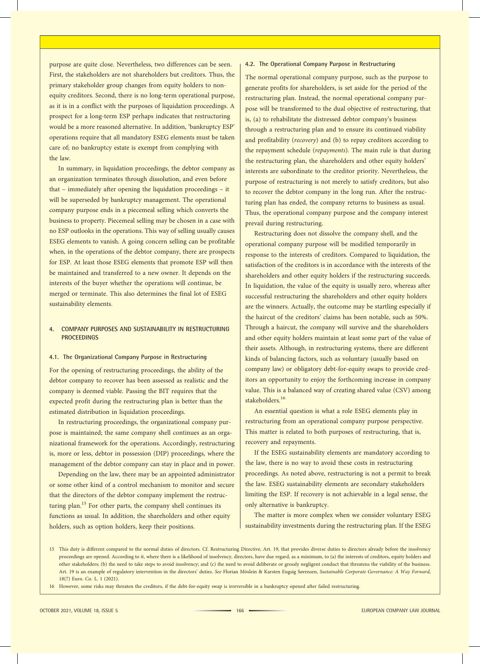purpose are quite close. Nevertheless, two differences can be seen. First, the stakeholders are not shareholders but creditors. Thus, the primary stakeholder group changes from equity holders to nonequity creditors. Second, there is no long-term operational purpose, as it is in a conflict with the purposes of liquidation proceedings. A prospect for a long-term ESP perhaps indicates that restructuring would be a more reasoned alternative. In addition, 'bankruptcy ESP' operations require that all mandatory ESEG elements must be taken care of; no bankruptcy estate is exempt from complying with the law.

In summary, in liquidation proceedings, the debtor company as an organization terminates through dissolution, and even before that – immediately after opening the liquidation proceedings – it will be superseded by bankruptcy management. The operational company purpose ends in a piecemeal selling which converts the business to property. Piecemeal selling may be chosen in a case with no ESP outlooks in the operations. This way of selling usually causes ESEG elements to vanish. A going concern selling can be profitable when, in the operations of the debtor company, there are prospects for ESP. At least those ESEG elements that promote ESP will then be maintained and transferred to a new owner. It depends on the interests of the buyer whether the operations will continue, be merged or terminate. This also determines the final lot of ESEG sustainability elements.

#### 4. COMPANY PURPOSES AND SUSTAINABILITY IN RESTRUCTURING **PROCEEDINGS**

#### 4.1. The Organizational Company Purpose in Restructuring

For the opening of restructuring proceedings, the ability of the debtor company to recover has been assessed as realistic and the company is deemed viable. Passing the BIT requires that the expected profit during the restructuring plan is better than the estimated distribution in liquidation proceedings.

In restructuring proceedings, the organizational company purpose is maintained; the same company shell continues as an organizational framework for the operations. Accordingly, restructuring is, more or less, debtor in possession (DIP) proceedings, where the management of the debtor company can stay in place and in power.

Depending on the law, there may be an appointed administrator or some other kind of a control mechanism to monitor and secure that the directors of the debtor company implement the restructuring plan.<sup>15</sup> For other parts, the company shell continues its functions as usual. In addition, the shareholders and other equity holders, such as option holders, keep their positions.

### 4.2. The Operational Company Purpose in Restructuring

The normal operational company purpose, such as the purpose to generate profits for shareholders, is set aside for the period of the restructuring plan. Instead, the normal operational company purpose will be transformed to the dual objective of restructuring, that is, (a) to rehabilitate the distressed debtor company's business through a restructuring plan and to ensure its continued viability and profitability (recovery) and (b) to repay creditors according to the repayment schedule (repayments). The main rule is that during the restructuring plan, the shareholders and other equity holders' interests are subordinate to the creditor priority. Nevertheless, the purpose of restructuring is not merely to satisfy creditors, but also to recover the debtor company in the long run. After the restructuring plan has ended, the company returns to business as usual. Thus, the operational company purpose and the company interest prevail during restructuring.

Restructuring does not dissolve the company shell, and the operational company purpose will be modified temporarily in response to the interests of creditors. Compared to liquidation, the satisfaction of the creditors is in accordance with the interests of the shareholders and other equity holders if the restructuring succeeds. In liquidation, the value of the equity is usually zero, whereas after successful restructuring the shareholders and other equity holders are the winners. Actually, the outcome may be startling especially if the haircut of the creditors' claims has been notable, such as 50%. Through a haircut, the company will survive and the shareholders and other equity holders maintain at least some part of the value of their assets. Although, in restructuring systems, there are different kinds of balancing factors, such as voluntary (usually based on company law) or obligatory debt-for-equity swaps to provide creditors an opportunity to enjoy the forthcoming increase in company value. This is a balanced way of creating shared value (CSV) among stakeholders.<sup>16</sup>

An essential question is what a role ESEG elements play in restructuring from an operational company purpose perspective. This matter is related to both purposes of restructuring, that is, recovery and repayments.

If the ESEG sustainability elements are mandatory according to the law, there is no way to avoid these costs in restructuring proceedings. As noted above, restructuring is not a permit to break the law. ESEG sustainability elements are secondary stakeholders limiting the ESP. If recovery is not achievable in a legal sense, the only alternative is bankruptcy.

The matter is more complex when we consider voluntary ESEG sustainability investments during the restructuring plan. If the ESEG

<sup>15</sup> This duty is different compared to the normal duties of directors. Cf. Restructuring Directive, Art. 19, that provides diverse duties to directors already before the insolvency proceedings are opened. According to it, where there is a likelihood of insolvency, directors, have due regard, as a minimum, to (a) the interests of creditors, equity holders and other stakeholders; (b) the need to take steps to avoid insolvency; and (c) the need to avoid deliberate or grossly negligent conduct that threatens the viability of the business. Art. 19 is an example of regulatory intervention in the directors' duties. See Florian Möslein & Karsten Engsig Sørensen, Sustainable Corporate Governance: A Way Forward, 18(7) Euro. Co. L. 1 (2021).

<sup>16</sup> However, some risks may threaten the creditors, if the debt-for-equity swap is irreversible in a bankruptcy opened after failed restructuring.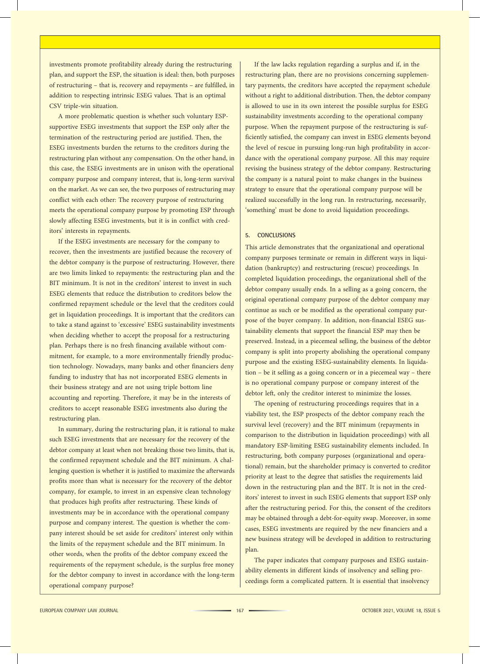investments promote profitability already during the restructuring plan, and support the ESP, the situation is ideal: then, both purposes of restructuring – that is, recovery and repayments – are fulfilled, in addition to respecting intrinsic ESEG values. That is an optimal CSV triple-win situation.

A more problematic question is whether such voluntary ESPsupportive ESEG investments that support the ESP only after the termination of the restructuring period are justified. Then, the ESEG investments burden the returns to the creditors during the restructuring plan without any compensation. On the other hand, in this case, the ESEG investments are in unison with the operational company purpose and company interest, that is, long-term survival on the market. As we can see, the two purposes of restructuring may conflict with each other: The recovery purpose of restructuring meets the operational company purpose by promoting ESP through slowly affecting ESEG investments, but it is in conflict with creditors' interests in repayments.

If the ESEG investments are necessary for the company to recover, then the investments are justified because the recovery of the debtor company is the purpose of restructuring. However, there are two limits linked to repayments: the restructuring plan and the BIT minimum. It is not in the creditors' interest to invest in such ESEG elements that reduce the distribution to creditors below the confirmed repayment schedule or the level that the creditors could get in liquidation proceedings. It is important that the creditors can to take a stand against to 'excessive' ESEG sustainability investments when deciding whether to accept the proposal for a restructuring plan. Perhaps there is no fresh financing available without commitment, for example, to a more environmentally friendly production technology. Nowadays, many banks and other financiers deny funding to industry that has not incorporated ESEG elements in their business strategy and are not using triple bottom line accounting and reporting. Therefore, it may be in the interests of creditors to accept reasonable ESEG investments also during the restructuring plan.

In summary, during the restructuring plan, it is rational to make such ESEG investments that are necessary for the recovery of the debtor company at least when not breaking those two limits, that is, the confirmed repayment schedule and the BIT minimum. A challenging question is whether it is justified to maximize the afterwards profits more than what is necessary for the recovery of the debtor company, for example, to invest in an expensive clean technology that produces high profits after restructuring. These kinds of investments may be in accordance with the operational company purpose and company interest. The question is whether the company interest should be set aside for creditors' interest only within the limits of the repayment schedule and the BIT minimum. In other words, when the profits of the debtor company exceed the requirements of the repayment schedule, is the surplus free money for the debtor company to invest in accordance with the long-term operational company purpose?

If the law lacks regulation regarding a surplus and if, in the restructuring plan, there are no provisions concerning supplementary payments, the creditors have accepted the repayment schedule without a right to additional distribution. Then, the debtor company is allowed to use in its own interest the possible surplus for ESEG sustainability investments according to the operational company purpose. When the repayment purpose of the restructuring is sufficiently satisfied, the company can invest in ESEG elements beyond the level of rescue in pursuing long-run high profitability in accordance with the operational company purpose. All this may require revising the business strategy of the debtor company. Restructuring the company is a natural point to make changes in the business strategy to ensure that the operational company purpose will be realized successfully in the long run. In restructuring, necessarily, 'something' must be done to avoid liquidation proceedings.

#### 5. CONCLUSIONS

This article demonstrates that the organizational and operational company purposes terminate or remain in different ways in liquidation (bankruptcy) and restructuring (rescue) proceedings. In completed liquidation proceedings, the organizational shell of the debtor company usually ends. In a selling as a going concern, the original operational company purpose of the debtor company may continue as such or be modified as the operational company purpose of the buyer company. In addition, non-financial ESEG sustainability elements that support the financial ESP may then be preserved. Instead, in a piecemeal selling, the business of the debtor company is split into property abolishing the operational company purpose and the existing ESEG-sustainability elements. In liquidation – be it selling as a going concern or in a piecemeal way – there is no operational company purpose or company interest of the debtor left, only the creditor interest to minimize the losses.

The opening of restructuring proceedings requires that in a viability test, the ESP prospects of the debtor company reach the survival level (recovery) and the BIT minimum (repayments in comparison to the distribution in liquidation proceedings) with all mandatory ESP-limiting ESEG sustainability elements included. In restructuring, both company purposes (organizational and operational) remain, but the shareholder primacy is converted to creditor priority at least to the degree that satisfies the requirements laid down in the restructuring plan and the BIT. It is not in the creditors' interest to invest in such ESEG elements that support ESP only after the restructuring period. For this, the consent of the creditors may be obtained through a debt-for-equity swap. Moreover, in some cases, ESEG investments are required by the new financiers and a new business strategy will be developed in addition to restructuring plan.

The paper indicates that company purposes and ESEG sustainability elements in different kinds of insolvency and selling proceedings form a complicated pattern. It is essential that insolvency